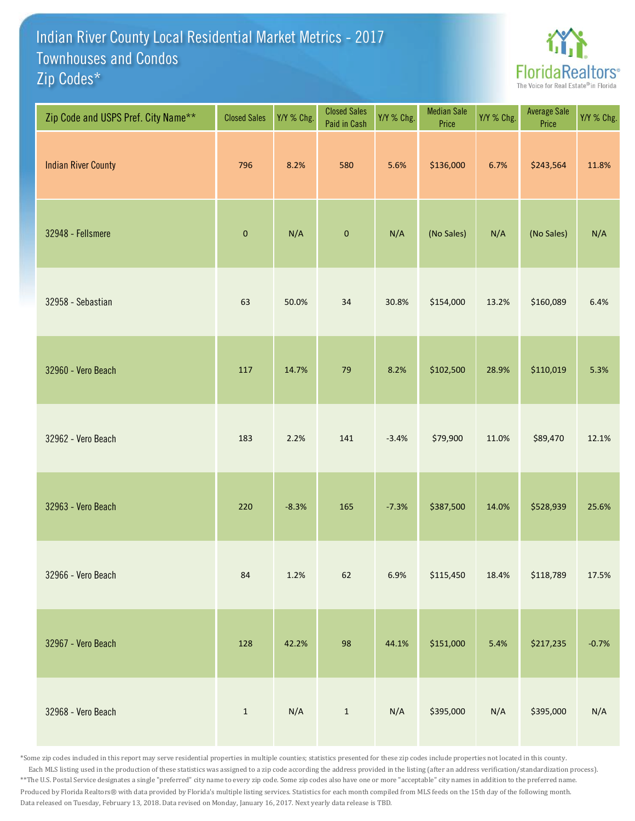## Indian River County Local Residential Market Metrics - 2017 Zip Codes\* Townhouses and Condos



| Zip Code and USPS Pref. City Name** | <b>Closed Sales</b> | Y/Y % Chg. | <b>Closed Sales</b><br>Paid in Cash | Y/Y % Chg. | <b>Median Sale</b><br>Price | Y/Y % Chg. | <b>Average Sale</b><br>Price | Y/Y % Chg. |
|-------------------------------------|---------------------|------------|-------------------------------------|------------|-----------------------------|------------|------------------------------|------------|
| <b>Indian River County</b>          | 796                 | 8.2%       | 580                                 | 5.6%       | \$136,000                   | 6.7%       | \$243,564                    | 11.8%      |
| 32948 - Fellsmere                   | $\pmb{0}$           | N/A        | $\pmb{0}$                           | N/A        | (No Sales)                  | N/A        | (No Sales)                   | N/A        |
| 32958 - Sebastian                   | 63                  | 50.0%      | 34                                  | 30.8%      | \$154,000                   | 13.2%      | \$160,089                    | 6.4%       |
| 32960 - Vero Beach                  | 117                 | 14.7%      | 79                                  | 8.2%       | \$102,500                   | 28.9%      | \$110,019                    | 5.3%       |
| 32962 - Vero Beach                  | 183                 | 2.2%       | 141                                 | $-3.4%$    | \$79,900                    | 11.0%      | \$89,470                     | 12.1%      |
| 32963 - Vero Beach                  | 220                 | $-8.3%$    | 165                                 | $-7.3%$    | \$387,500                   | 14.0%      | \$528,939                    | 25.6%      |
| 32966 - Vero Beach                  | 84                  | 1.2%       | 62                                  | 6.9%       | \$115,450                   | 18.4%      | \$118,789                    | 17.5%      |
| 32967 - Vero Beach                  | 128                 | 42.2%      | 98                                  | 44.1%      | \$151,000                   | 5.4%       | \$217,235                    | $-0.7%$    |
| 32968 - Vero Beach                  | $\mathbf{1}$        | N/A        | $\mathbf 1$                         | N/A        | \$395,000                   | N/A        | \$395,000                    | N/A        |

\*Some zip codes included in this report may serve residential properties in multiple counties; statistics presented for these zip codes include properties not located in this county. Each MLS listing used in the production of these statistics was assigned to a zip code according the address provided in the listing (after an address verification/standardization process). \*\*The U.S. Postal Service designates a single "preferred" city name to every zip code. Some zip codes also have one or more "acceptable" city names in addition to the preferred name. Produced by Florida Realtors® with data provided by Florida's multiple listing services. Statistics for each month compiled from MLS feeds on the 15th day of the following month. Data released on Tuesday, February 13, 2018. Data revised on Monday, January 16, 2017. Next yearly data release is TBD.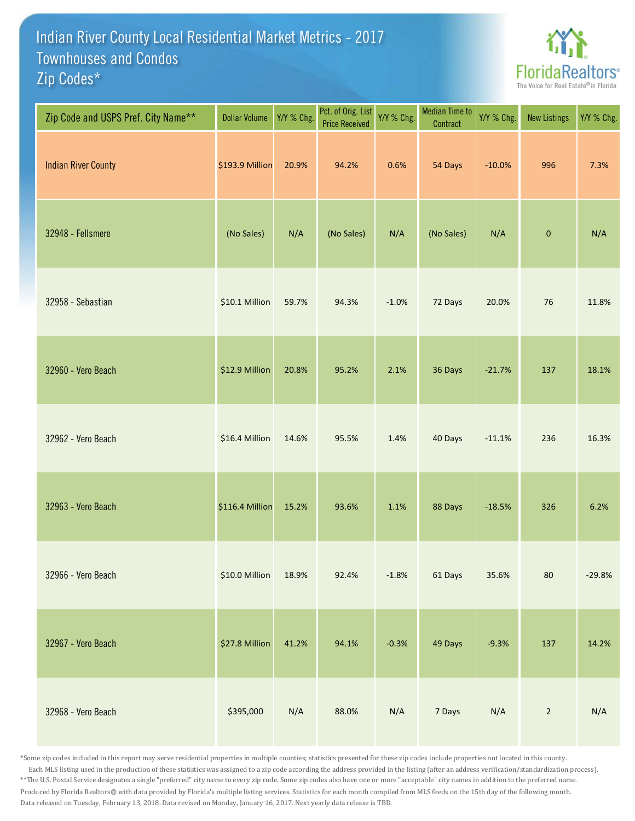## Indian River County Local Residential Market Metrics - 2017 Zip Codes\* Townhouses and Condos



| Zip Code and USPS Pref. City Name** | <b>Dollar Volume</b> | Y/Y % Chg. | Pct. of Orig. List<br><b>Price Received</b> | Y/Y % Chg. | <b>Median Time to</b><br>Contract | Y/Y % Chg. | <b>New Listings</b> | Y/Y % Chg. |
|-------------------------------------|----------------------|------------|---------------------------------------------|------------|-----------------------------------|------------|---------------------|------------|
| <b>Indian River County</b>          | \$193.9 Million      | 20.9%      | 94.2%                                       | 0.6%       | 54 Days                           | $-10.0%$   | 996                 | 7.3%       |
| 32948 - Fellsmere                   | (No Sales)           | N/A        | (No Sales)                                  | N/A        | (No Sales)                        | N/A        | $\mathbf{0}$        | N/A        |
| 32958 - Sebastian                   | \$10.1 Million       | 59.7%      | 94.3%                                       | $-1.0%$    | 72 Days                           | 20.0%      | 76                  | 11.8%      |
| 32960 - Vero Beach                  | \$12.9 Million       | 20.8%      | 95.2%                                       | 2.1%       | 36 Days                           | $-21.7%$   | 137                 | 18.1%      |
| 32962 - Vero Beach                  | \$16.4 Million       | 14.6%      | 95.5%                                       | 1.4%       | 40 Days                           | $-11.1%$   | 236                 | 16.3%      |
| 32963 - Vero Beach                  | \$116.4 Million      | 15.2%      | 93.6%                                       | 1.1%       | 88 Days                           | $-18.5%$   | 326                 | 6.2%       |
| 32966 - Vero Beach                  | \$10.0 Million       | 18.9%      | 92.4%                                       | $-1.8%$    | 61 Days                           | 35.6%      | 80                  | $-29.8%$   |
| 32967 - Vero Beach                  | \$27.8 Million       | 41.2%      | 94.1%                                       | $-0.3%$    | 49 Days                           | $-9.3%$    | 137                 | 14.2%      |
| 32968 - Vero Beach                  | \$395,000            | N/A        | 88.0%                                       | N/A        | 7 Days                            | N/A        | $\overline{2}$      | N/A        |

\*Some zip codes included in this report may serve residential properties in multiple counties; statistics presented for these zip codes include properties not located in this county. Each MLS listing used in the production of these statistics was assigned to a zip code according the address provided in the listing (after an address verification/standardization process). \*\*The U.S. Postal Service designates a single "preferred" city name to every zip code. Some zip codes also have one or more "acceptable" city names in addition to the preferred name. Produced by Florida Realtors® with data provided by Florida's multiple listing services. Statistics for each month compiled from MLS feeds on the 15th day of the following month. Data released on Tuesday, February 13, 2018. Data revised on Monday, January 16, 2017. Next yearly data release is TBD.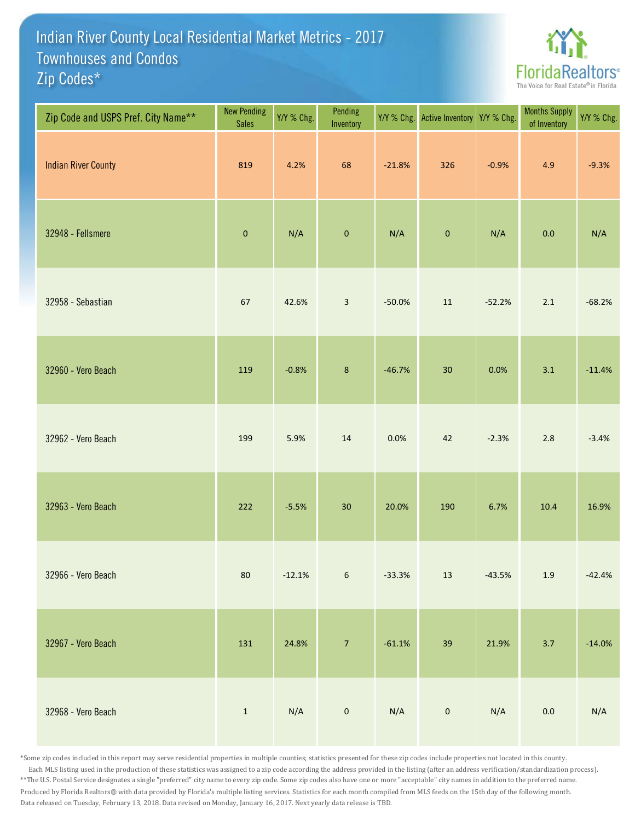## Indian River County Local Residential Market Metrics - 2017 Zip Codes\* Townhouses and Condos



| Zip Code and USPS Pref. City Name** | <b>New Pending</b><br><b>Sales</b> | Y/Y % Chg. | Pending<br>Inventory | Y/Y % Chg. | Active Inventory Y/Y % Chg. |          | <b>Months Supply</b><br>of Inventory | Y/Y % Chg. |
|-------------------------------------|------------------------------------|------------|----------------------|------------|-----------------------------|----------|--------------------------------------|------------|
| <b>Indian River County</b>          | 819                                | 4.2%       | 68                   | $-21.8%$   | 326                         | $-0.9%$  | 4.9                                  | $-9.3%$    |
| 32948 - Fellsmere                   | $\pmb{0}$                          | N/A        | $\mathbf 0$          | N/A        | $\pmb{0}$                   | N/A      | 0.0                                  | N/A        |
| 32958 - Sebastian                   | 67                                 | 42.6%      | $\mathbf{3}$         | $-50.0%$   | 11                          | $-52.2%$ | 2.1                                  | $-68.2%$   |
| 32960 - Vero Beach                  | 119                                | $-0.8%$    | $\,$ 8 $\,$          | $-46.7%$   | 30                          | 0.0%     | 3.1                                  | $-11.4%$   |
| 32962 - Vero Beach                  | 199                                | 5.9%       | 14                   | 0.0%       | 42                          | $-2.3%$  | 2.8                                  | $-3.4%$    |
| 32963 - Vero Beach                  | 222                                | $-5.5%$    | $30\,$               | 20.0%      | 190                         | 6.7%     | 10.4                                 | 16.9%      |
| 32966 - Vero Beach                  | $80\,$                             | $-12.1%$   | $\sqrt{6}$           | $-33.3%$   | $13\,$                      | $-43.5%$ | $1.9\,$                              | $-42.4%$   |
| 32967 - Vero Beach                  | 131                                | 24.8%      | $\overline{7}$       | $-61.1%$   | 39                          | 21.9%    | $3.7$                                | $-14.0%$   |
| 32968 - Vero Beach                  | $\mathbf{1}$                       | N/A        | $\pmb{0}$            | N/A        | $\pmb{0}$                   | N/A      | $0.0\,$                              | N/A        |

\*Some zip codes included in this report may serve residential properties in multiple counties; statistics presented for these zip codes include properties not located in this county. Each MLS listing used in the production of these statistics was assigned to a zip code according the address provided in the listing (after an address verification/standardization process). \*\*The U.S. Postal Service designates a single "preferred" city name to every zip code. Some zip codes also have one or more "acceptable" city names in addition to the preferred name. Produced by Florida Realtors® with data provided by Florida's multiple listing services. Statistics for each month compiled from MLS feeds on the 15th day of the following month. Data released on Tuesday, February 13, 2018. Data revised on Monday, January 16, 2017. Next yearly data release is TBD.